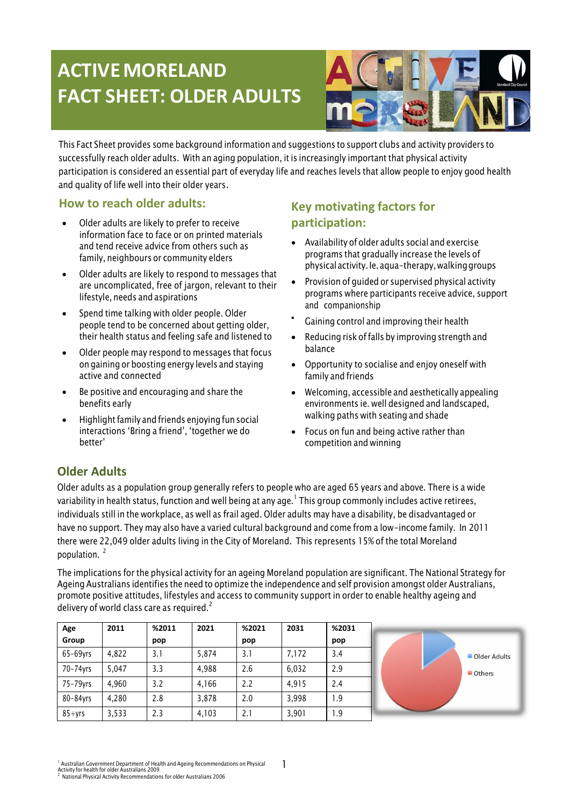# **ACTIVE MORELAND FACT SHEET: OLDER ADULTS**



This Fact Sheet provides some background information and suggestions to support clubs and activity providers to successfully reach older adults. With an aging population, it is increasingly important that physical activity participation is considered an essential part of everyday life and reaches levels that allow people to enjoy good health and quality of life well into their older years.

### **How to reach older adults:**

- Older adults are likely to prefer to receive information face to face or on printed materials and tend receive advice from others such as family, neighbours or community elders
- Older adults are likely to respond to messages that are uncomplicated, free of jargon, relevant to their lifestyle, needs and aspirations
- Spend time talking with older people. Older people tend to be concerned about getting older, their health status and feeling safe and listened to
- Older people may respond to messages that focus on gaining or boosting energy levels and staying active and connected
- Be positive and encouraging and share the benefits early
- Highlight family and friends enjoying fun social interactions "Bring a friend", "together we do better"

# **Key motivating factors for participation:**

- Availability of older adults social and exercise programs that gradually increase the levels of physical activity.Ie. aqua-therapy,walkinggroups
- Provision of guided or supervised physical activity programs where participants receive advice, support and companionship
- Gaining control and improving their health
- Reducing risk of falls by improving strength and balance
- Opportunity to socialise and enjoy oneself with family and friends
- Welcoming, accessible and aesthetically appealing environments ie. well designed and landscaped, walking paths with seating and shade
- Focus on fun and being active rather than competition and winning

## **Older Adults**

Older adults as a population group generally refers to people who are aged 65 years and above. There is a wide variability in health status, function and well being at any age.  $^{\rm l}$  This group commonly includes active retirees, individuals still in the workplace, as well as frail aged. Older adults may have a disability, be disadvantaged or have no support. They may also have a varied cultural background and come from a low-income family. In 2011 there were 22,049 older adults living in the City of Moreland. This represents 15% of the total Moreland population. <sup>2</sup>

The implications for the physical activity for an ageing Moreland population are significant. The National Strategy for Ageing Australians identifies the need to optimize the independence and self provision amongst older Australians, promote positive attitudes, lifestyles and access to community support in order to enable healthy ageing and delivery of world class care as required.<sup>2</sup>

| Age           | 2011  | %2011 | 2021  | %2021 | 2031  | %2031 |
|---------------|-------|-------|-------|-------|-------|-------|
| Group         |       | pop   |       | pop   |       | pop   |
| $65 - 69$ yrs | 4.822 | 3.1   | 5,874 | 3.1   | 7,172 | 3.4   |
| 70-74yrs      | 5.047 | 3.3   | 4,988 | 2.6   | 6.032 | 2.9   |
| 75-79yrs      | 4.960 | 3.2   | 4,166 | 2.2   | 4.915 | 2.4   |
| 80-84yrs      | 4.280 | 2.8   | 3,878 | 2.0   | 3,998 | 1.9   |
| $85+vrs$      | 3,533 | 2.3   | 4,103 | 2.1   | 3,901 | 1.9   |



<sup>&</sup>lt;sup>1</sup> Australian Government Department of Health and Ageing Recommendations on Physical<br>Activity for health for older Australians 2009<br><sup>2</sup> Notional M

<sup>2</sup> National Physical Activity Recommendations for older Australians 2006